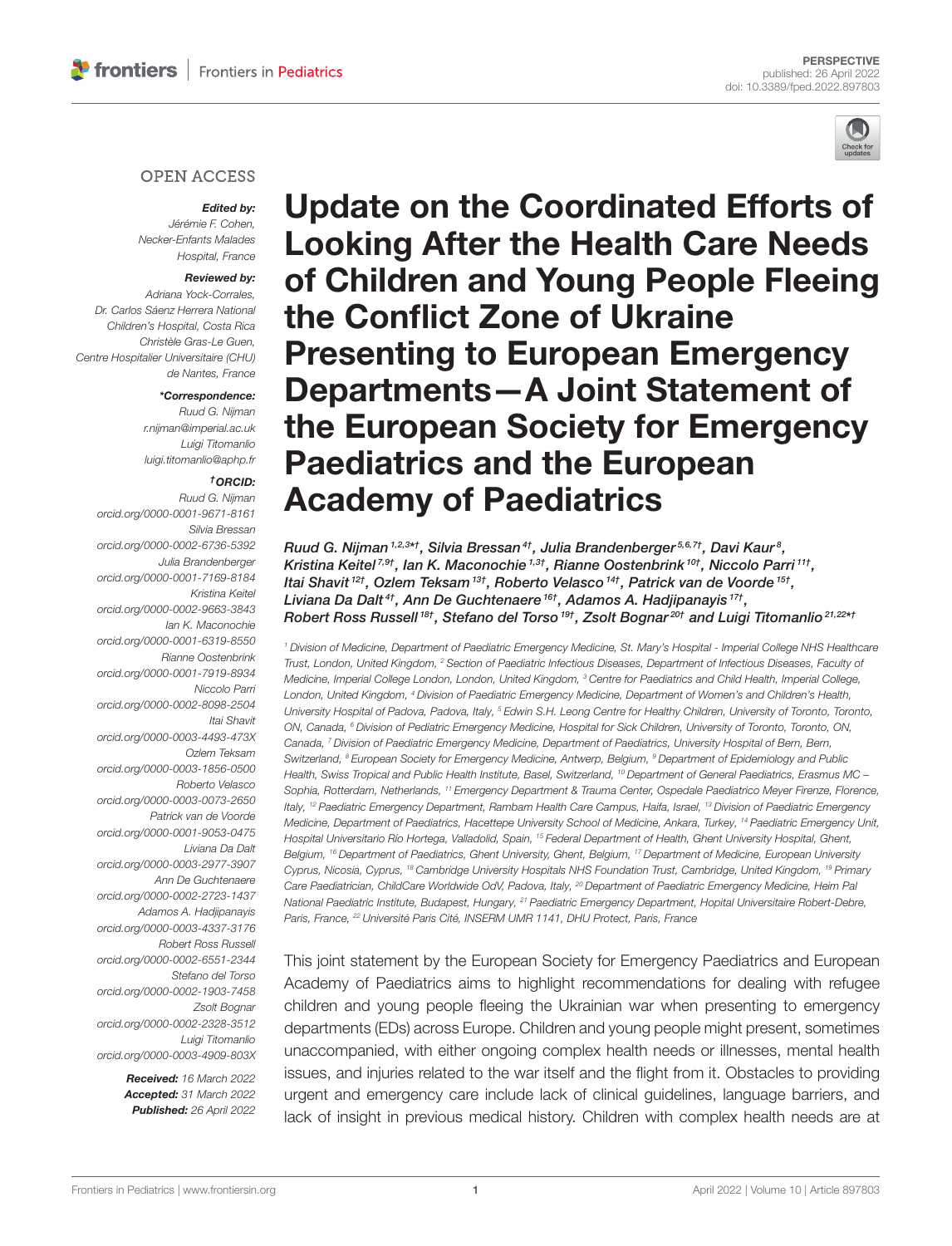

#### **OPEN ACCESS**

#### Edited by:

Jérémie F. Cohen, Necker-Enfants Malades Hospital, France

#### Reviewed by:

Adriana Yock-Corrales, Dr. Carlos Sáenz Herrera National Children's Hospital, Costa Rica Christèle Gras-Le Guen, Centre Hospitalier Universitaire (CHU) de Nantes, France

#### \*Correspondence:

Ruud G. Nijman [r.nijman@imperial.ac.uk](mailto:r.nijman@imperial.ac.uk) Luigi Titomanlio [luigi.titomanlio@aphp.fr](mailto:luigi.titomanlio@aphp.fr)

#### †ORCID:

Ruud G. Nijman [orcid.org/0000-0001-9671-8161](https://orcid.org/0000-0001-9671-8161) Silvia Bressan [orcid.org/0000-0002-6736-5392](https://orcid.org/0000-0002-6736-5392) Julia Brandenberger [orcid.org/0000-0001-7169-8184](https://orcid.org/0000-0001-7169-8184) Kristina Keitel [orcid.org/0000-0002-9663-3843](https://orcid.org/0000-0002-9663-3843) Ian K. Maconochie [orcid.org/0000-0001-6319-8550](https://orcid.org/0000-0001-6319-8550) Rianne Oostenbrink [orcid.org/0000-0001-7919-8934](https://orcid.org/0000-0001-7919-8934) Niccolo Parri [orcid.org/0000-0002-8098-2504](https://orcid.org/0000-0002-8098-2504) Itai Shavit [orcid.org/0000-0003-4493-473X](https://orcid.org/0000-0003-4493-473X) Ozlem Teksam [orcid.org/0000-0003-1856-0500](https://orcid.org/0000-0003-1856-0500) Roberto Velasco [orcid.org/0000-0003-0073-2650](https://orcid.org/0000-0003-0073-2650) Patrick van de Voorde [orcid.org/0000-0001-9053-0475](https://orcid.org/0000-0001-9053-0475) Liviana Da Dalt [orcid.org/0000-0003-2977-3907](https://orcid.org/0000-0003-2977-3907) Ann De Guchtenaere [orcid.org/0000-0002-2723-1437](https://orcid.org/0000-0002-2723-1437) Adamos A. Hadjipanayis [orcid.org/0000-0003-4337-3176](https://orcid.org/0000-0003-4337-3176) Robert Ross Russell [orcid.org/0000-0002-6551-2344](https://orcid.org/0000-0002-6551-2344) Stefano del Torso [orcid.org/0000-0002-1903-7458](https://orcid.org/0000-0002-1903-7458) Zsolt Bognar [orcid.org/0000-0002-2328-3512](https://orcid.org/0000-0002-2328-3512) Luigi Titomanlio [orcid.org/0000-0003-4909-803X](https://orcid.org/0000-0003-4909-803X)

> Received: 16 March 2022 Accepted: 31 March 2022 Published: 26 April 2022

Update on the Coordinated Efforts of Looking After the Health Care Needs [of Children and Young People Fleeing](https://www.frontiersin.org/articles/10.3389/fped.2022.897803/full) the Conflict Zone of Ukraine Presenting to European Emergency Departments—A Joint Statement of the European Society for Emergency Paediatrics and the European Academy of Paediatrics

Ruud G. Nijman 1,2,3\*†, Silvia Bressan <sup>4†</sup>, Julia Brandenberger 5,6,7†, Davi Kaur <sup>8</sup>, Kristina Keitel<sup>7,9†</sup>, Ian K. Maconochie<sup>1,3†</sup>, Rianne Oostenbrink <sup>10†</sup>, Niccolo Parri <sup>11†</sup>, Itai Shavit <sup>12†</sup>, Ozlem Teksam <sup>13†</sup>, Roberto Velasco <sup>14†</sup>, Patrick van de Voorde <sup>15†</sup>, Liviana Da Dalt $^{\it 4\dagger}$ , Ann De Guchtenaere  $^{\it 16\dagger}$ , Adamos A. Hadjipanayis  $^{\it 17\dagger}$ , Robert Ross Russell <sup>18†</sup>, Stefano del Torso <sup>19†</sup>, Zsolt Bognar<sup>20†</sup> and Luigi Titomanlio<sup>21,22\*1</sup>

<sup>1</sup> Division of Medicine, Department of Paediatric Emergency Medicine, St. Mary's Hospital - Imperial College NHS Healthcare Trust, London, United Kingdom, <sup>2</sup> Section of Paediatric Infectious Diseases, Department of Infectious Diseases, Faculty of Medicine, Imperial College London, London, United Kingdom, <sup>3</sup> Centre for Paediatrics and Child Health, Imperial College, London, United Kingdom, <sup>4</sup> Division of Paediatric Emergency Medicine, Department of Women's and Children's Health, University Hospital of Padova, Padova, Italy, <sup>5</sup> Edwin S.H. Leong Centre for Healthy Children, University of Toronto, Toronto, ON, Canada, <sup>6</sup> Division of Pediatric Emergency Medicine, Hospital for Sick Children, University of Toronto, Toronto, ON, Canada, <sup>7</sup> Division of Paediatric Emergency Medicine, Department of Paediatrics, University Hospital of Bern, Bern, Switzerland, <sup>8</sup> European Society for Emergency Medicine, Antwerp, Belgium, <sup>9</sup> Department of Epidemiology and Public Health, Swiss Tropical and Public Health Institute, Basel, Switzerland, <sup>10</sup> Department of General Paediatrics, Erasmus MC -Sophia, Rotterdam, Netherlands, <sup>11</sup> Emergency Department & Trauma Center, Ospedale Paediatrico Meyer Firenze, Florence, Italy, <sup>12</sup> Paediatric Emergency Department, Rambam Health Care Campus, Haifa, Israel, <sup>13</sup> Division of Paediatric Emergency Medicine, Department of Paediatrics, Hacettepe University School of Medicine, Ankara, Turkey, <sup>14</sup> Paediatric Emergency Unit, Hospital Universitario Río Hortega, Valladolid, Spain, <sup>15</sup> Federal Department of Health, Ghent University Hospital, Ghent, Belgium, <sup>16</sup> Department of Paediatrics, Ghent University, Ghent, Belgium, <sup>17</sup> Department of Medicine, European University Cyprus, Nicosia, Cyprus, <sup>18</sup> Cambridge University Hospitals NHS Foundation Trust, Cambridge, United Kingdom, <sup>19</sup> Primary Care Paediatrician, ChildCare Worldwide OdV, Padova, Italy, <sup>20</sup> Department of Paediatric Emergency Medicine, Heim Pa. National Paediatric Institute, Budapest, Hungary, <sup>21</sup> Paediatric Emergency Department, Hopital Universitaire Robert-Debre, Paris, France, <sup>22</sup> Université Paris Cité, INSERM UMR 1141, DHU Protect, Paris, France

This joint statement by the European Society for Emergency Paediatrics and European Academy of Paediatrics aims to highlight recommendations for dealing with refugee children and young people fleeing the Ukrainian war when presenting to emergency departments (EDs) across Europe. Children and young people might present, sometimes unaccompanied, with either ongoing complex health needs or illnesses, mental health issues, and injuries related to the war itself and the flight from it. Obstacles to providing urgent and emergency care include lack of clinical guidelines, language barriers, and lack of insight in previous medical history. Children with complex health needs are at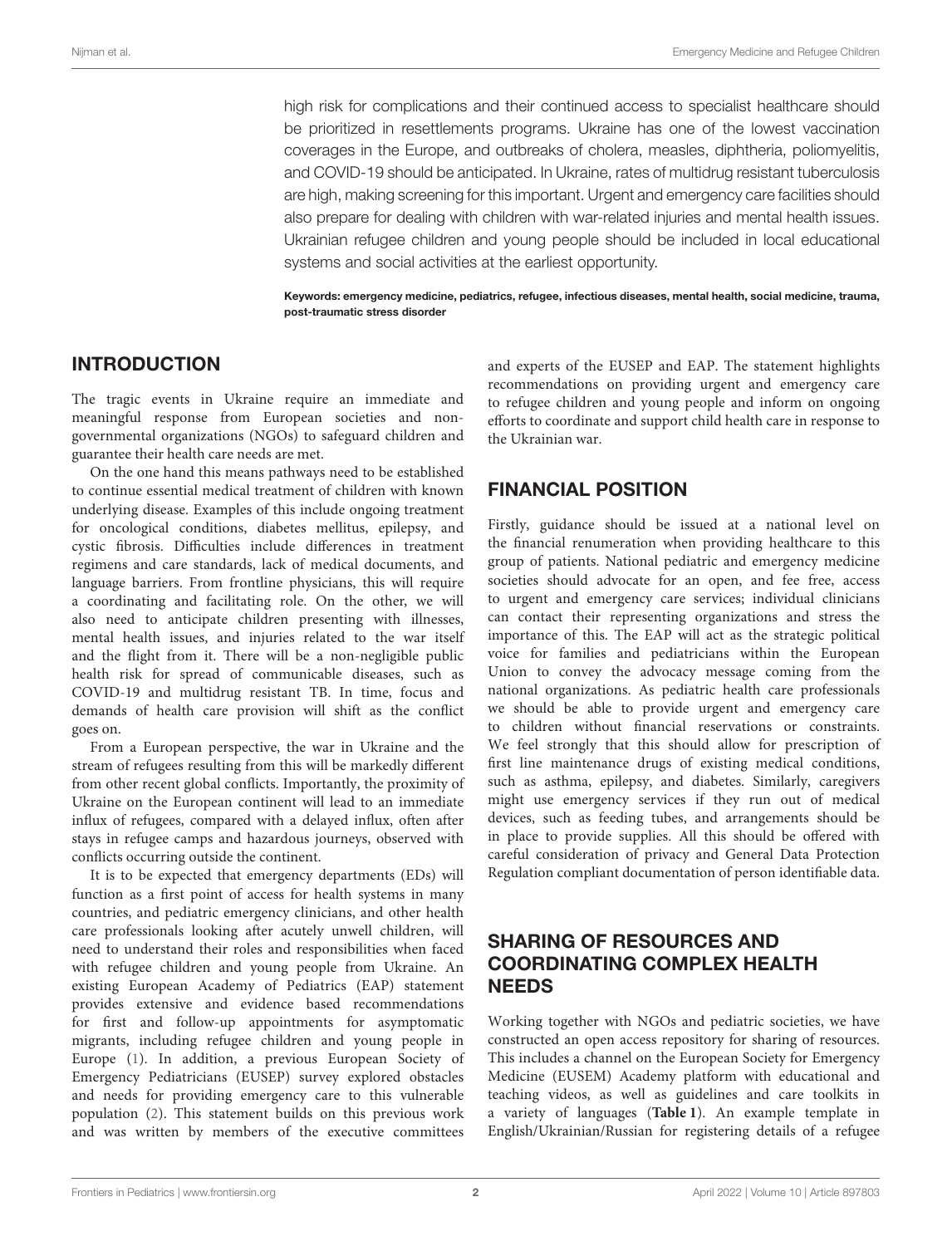high risk for complications and their continued access to specialist healthcare should be prioritized in resettlements programs. Ukraine has one of the lowest vaccination coverages in the Europe, and outbreaks of cholera, measles, diphtheria, poliomyelitis, and COVID-19 should be anticipated. In Ukraine, rates of multidrug resistant tuberculosis are high, making screening for this important. Urgent and emergency care facilities should also prepare for dealing with children with war-related injuries and mental health issues. Ukrainian refugee children and young people should be included in local educational systems and social activities at the earliest opportunity.

Keywords: emergency medicine, pediatrics, refugee, infectious diseases, mental health, social medicine, trauma, post-traumatic stress disorder

## INTRODUCTION

The tragic events in Ukraine require an immediate and meaningful response from European societies and nongovernmental organizations (NGOs) to safeguard children and guarantee their health care needs are met.

On the one hand this means pathways need to be established to continue essential medical treatment of children with known underlying disease. Examples of this include ongoing treatment for oncological conditions, diabetes mellitus, epilepsy, and cystic fibrosis. Difficulties include differences in treatment regimens and care standards, lack of medical documents, and language barriers. From frontline physicians, this will require a coordinating and facilitating role. On the other, we will also need to anticipate children presenting with illnesses, mental health issues, and injuries related to the war itself and the flight from it. There will be a non-negligible public health risk for spread of communicable diseases, such as COVID-19 and multidrug resistant TB. In time, focus and demands of health care provision will shift as the conflict goes on.

From a European perspective, the war in Ukraine and the stream of refugees resulting from this will be markedly different from other recent global conflicts. Importantly, the proximity of Ukraine on the European continent will lead to an immediate influx of refugees, compared with a delayed influx, often after stays in refugee camps and hazardous journeys, observed with conflicts occurring outside the continent.

It is to be expected that emergency departments (EDs) will function as a first point of access for health systems in many countries, and pediatric emergency clinicians, and other health care professionals looking after acutely unwell children, will need to understand their roles and responsibilities when faced with refugee children and young people from Ukraine. An existing European Academy of Pediatrics (EAP) statement provides extensive and evidence based recommendations for first and follow-up appointments for asymptomatic migrants, including refugee children and young people in Europe [\(1\)](#page-6-0). In addition, a previous European Society of Emergency Pediatricians (EUSEP) survey explored obstacles and needs for providing emergency care to this vulnerable population [\(2\)](#page-6-1). This statement builds on this previous work and was written by members of the executive committees and experts of the EUSEP and EAP. The statement highlights recommendations on providing urgent and emergency care to refugee children and young people and inform on ongoing efforts to coordinate and support child health care in response to the Ukrainian war.

# FINANCIAL POSITION

Firstly, guidance should be issued at a national level on the financial renumeration when providing healthcare to this group of patients. National pediatric and emergency medicine societies should advocate for an open, and fee free, access to urgent and emergency care services; individual clinicians can contact their representing organizations and stress the importance of this. The EAP will act as the strategic political voice for families and pediatricians within the European Union to convey the advocacy message coming from the national organizations. As pediatric health care professionals we should be able to provide urgent and emergency care to children without financial reservations or constraints. We feel strongly that this should allow for prescription of first line maintenance drugs of existing medical conditions, such as asthma, epilepsy, and diabetes. Similarly, caregivers might use emergency services if they run out of medical devices, such as feeding tubes, and arrangements should be in place to provide supplies. All this should be offered with careful consideration of privacy and General Data Protection Regulation compliant documentation of person identifiable data.

## SHARING OF RESOURCES AND COORDINATING COMPLEX HEALTH **NEEDS**

Working together with NGOs and pediatric societies, we have constructed an open access repository for sharing of resources. This includes a channel on the European Society for Emergency Medicine (EUSEM) Academy platform with educational and teaching videos, as well as guidelines and care toolkits in a variety of languages (**[Table 1](#page-2-0)**). An example template in English/Ukrainian/Russian for registering details of a refugee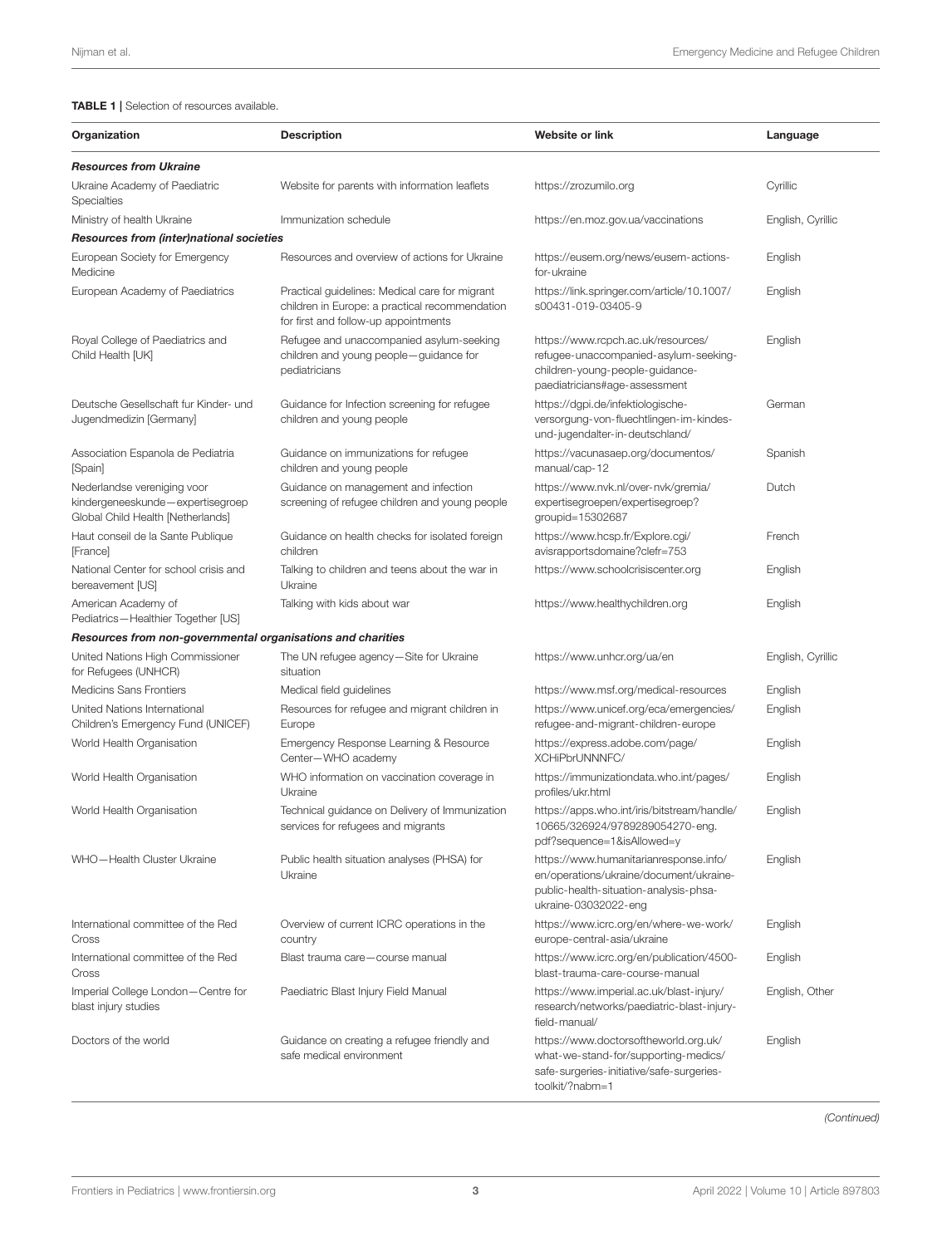#### <span id="page-2-0"></span>TABLE 1 | Selection of resources available.

| Organization                                                                                         | <b>Description</b>                                                                                                                       | <b>Website or link</b>                                                                                                                              | Language          |
|------------------------------------------------------------------------------------------------------|------------------------------------------------------------------------------------------------------------------------------------------|-----------------------------------------------------------------------------------------------------------------------------------------------------|-------------------|
| <b>Resources from Ukraine</b>                                                                        |                                                                                                                                          |                                                                                                                                                     |                   |
| Ukraine Academy of Paediatric<br>Specialties                                                         | Website for parents with information leaflets                                                                                            | https://zrozumilo.org                                                                                                                               | Cyrillic          |
| Ministry of health Ukraine                                                                           | Immunization schedule                                                                                                                    | https://en.moz.gov.ua/vaccinations                                                                                                                  | English, Cyrillic |
| Resources from (inter)national societies                                                             |                                                                                                                                          |                                                                                                                                                     |                   |
| European Society for Emergency<br>Medicine                                                           | Resources and overview of actions for Ukraine                                                                                            | https://eusem.org/news/eusem-actions-<br>for-ukraine                                                                                                | English           |
| European Academy of Paediatrics                                                                      | Practical guidelines: Medical care for migrant<br>children in Europe: a practical recommendation<br>for first and follow-up appointments | https://link.springer.com/article/10.1007/<br>s00431-019-03405-9                                                                                    | English           |
| Royal College of Paediatrics and<br>Child Health [UK]                                                | Refugee and unaccompanied asylum-seeking<br>children and young people-guidance for<br>pediatricians                                      | https://www.rcpch.ac.uk/resources/<br>refugee-unaccompanied-asylum-seeking-<br>children-young-people-guidance-<br>paediatricians#age-assessment     | English           |
| Deutsche Gesellschaft fur Kinder- und<br>Jugendmedizin [Germany]                                     | Guidance for Infection screening for refugee<br>children and young people                                                                | https://dgpi.de/infektiologische-<br>versorgung-von-fluechtlingen-im-kindes-<br>und-jugendalter-in-deutschland/                                     | German            |
| Association Espanola de Pediatria<br>[Spain]                                                         | Guidance on immunizations for refugee<br>children and young people                                                                       | https://vacunasaep.org/documentos/<br>manual/cap-12                                                                                                 | Spanish           |
| Nederlandse vereniging voor<br>kindergeneeskunde-expertisegroep<br>Global Child Health [Netherlands] | Guidance on management and infection<br>screening of refugee children and young people                                                   | https://www.nvk.nl/over-nvk/gremia/<br>expertisegroepen/expertisegroep?<br>groupid=15302687                                                         | Dutch             |
| Haut conseil de la Sante Publique<br>[France]                                                        | Guidance on health checks for isolated foreign<br>children                                                                               | https://www.hcsp.fr/Explore.cgi/<br>avisrapportsdomaine?clefr=753                                                                                   | French            |
| National Center for school crisis and<br>bereavement [US]                                            | Talking to children and teens about the war in<br>Ukraine                                                                                | https://www.schoolcrisiscenter.org                                                                                                                  | English           |
| American Academy of<br>Pediatrics-Healthier Together [US]                                            | Talking with kids about war                                                                                                              | https://www.healthychildren.org                                                                                                                     | English           |
| Resources from non-governmental organisations and charities                                          |                                                                                                                                          |                                                                                                                                                     |                   |
| United Nations High Commissioner<br>for Refugees (UNHCR)                                             | The UN refugee agency-Site for Ukraine<br>situation                                                                                      | https://www.unhcr.org/ua/en                                                                                                                         | English, Cyrillic |
| <b>Medicins Sans Frontiers</b>                                                                       | Medical field guidelines                                                                                                                 | https://www.msf.org/medical-resources                                                                                                               | English           |
| United Nations International<br>Children's Emergency Fund (UNICEF)                                   | Resources for refugee and migrant children in<br>Europe                                                                                  | https://www.unicef.org/eca/emergencies/<br>refugee-and-migrant-children-europe                                                                      | English           |
| World Health Organisation                                                                            | Emergency Response Learning & Resource<br>Center-WHO academy                                                                             | https://express.adobe.com/page/<br>XCHiPbrUNNNFC/                                                                                                   | English           |
| World Health Organisation                                                                            | WHO information on vaccination coverage in<br>Ukraine                                                                                    | https://immunizationdata.who.int/pages/<br>profiles/ukr.html                                                                                        | English           |
| World Health Organisation                                                                            | Technical guidance on Delivery of Immunization<br>services for refugees and migrants                                                     | https://apps.who.int/iris/bitstream/handle/<br>10665/326924/9789289054270-eng.<br>pdf?sequence=1&isAllowed=y                                        | English           |
| WHO-Health Cluster Ukraine                                                                           | Public health situation analyses (PHSA) for<br>Ukraine                                                                                   | https://www.humanitarianresponse.info/<br>en/operations/ukraine/document/ukraine-<br>public-health-situation-analysis-phsa-<br>ukraine-03032022-eng | English           |
| International committee of the Red<br>Cross                                                          | Overview of current ICRC operations in the<br>country                                                                                    | https://www.icrc.org/en/where-we-work/<br>europe-central-asia/ukraine                                                                               | English           |
| International committee of the Red<br>Cross                                                          | Blast trauma care-course manual                                                                                                          | https://www.icrc.org/en/publication/4500-<br>blast-trauma-care-course-manual                                                                        | English           |
| Imperial College London-Centre for<br>blast injury studies                                           | Paediatric Blast Injury Field Manual                                                                                                     | https://www.imperial.ac.uk/blast-injury/<br>research/networks/paediatric-blast-injury-<br>field-manual/                                             | English, Other    |
| Doctors of the world                                                                                 | Guidance on creating a refugee friendly and<br>safe medical environment                                                                  | https://www.doctorsoftheworld.org.uk/<br>what-we-stand-for/supporting-medics/<br>safe-surgeries-initiative/safe-surgeries-<br>toolkit/?nabm=1       | English           |

(Continued)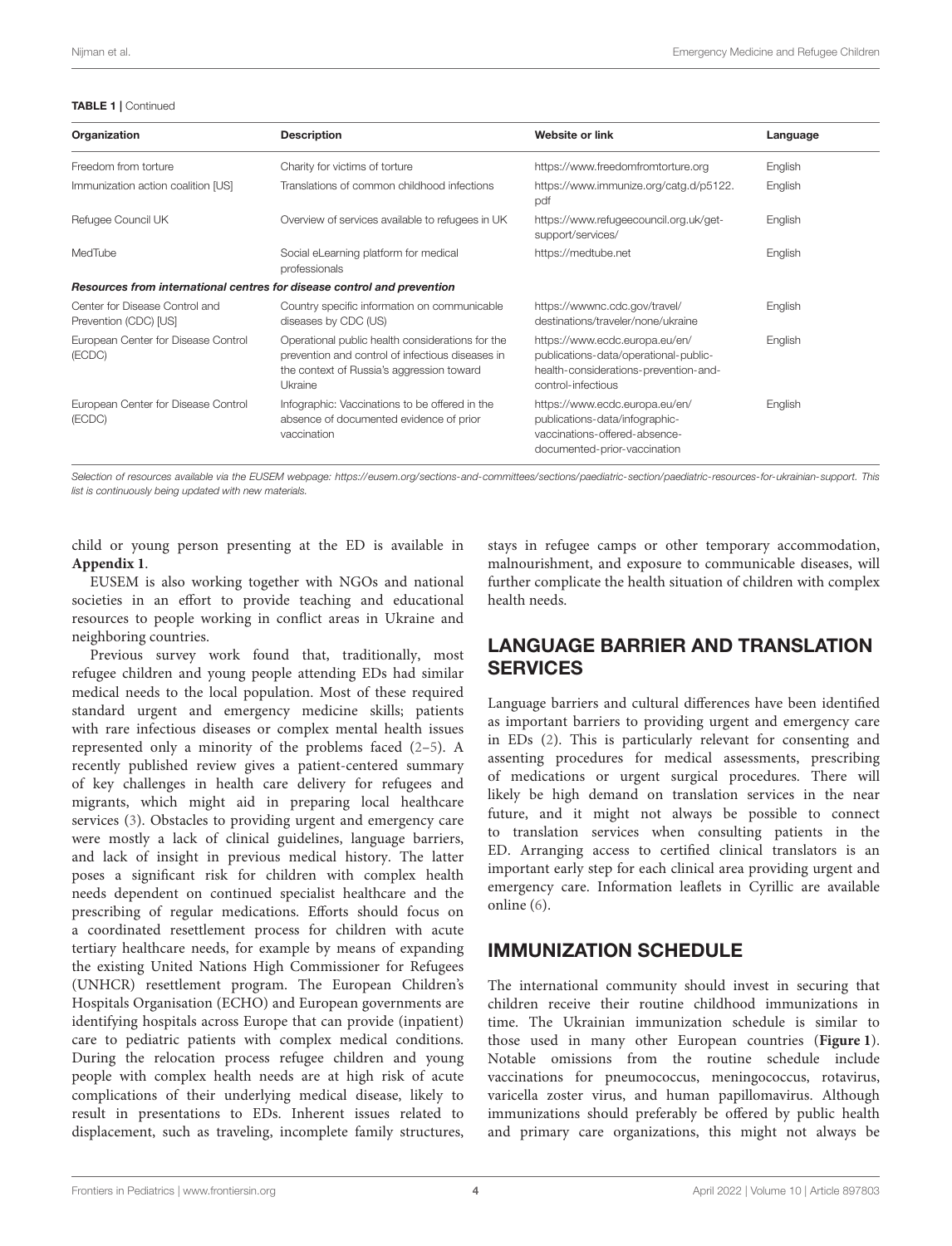#### TABLE 1 | Continued

| Organization                                                            | <b>Description</b>                                                                                                                                           | Website or link                                                                                                                        | Language |  |  |
|-------------------------------------------------------------------------|--------------------------------------------------------------------------------------------------------------------------------------------------------------|----------------------------------------------------------------------------------------------------------------------------------------|----------|--|--|
| Freedom from torture                                                    | Charity for victims of torture                                                                                                                               | https://www.freedomfromtorture.org                                                                                                     | English  |  |  |
| Immunization action coalition [US]                                      | Translations of common childhood infections                                                                                                                  | https://www.immunize.org/catg.d/p5122.<br>pdf                                                                                          | English  |  |  |
| Refugee Council UK                                                      | Overview of services available to refugees in UK                                                                                                             | https://www.refugeecouncil.org.uk/get-<br>support/services/                                                                            | English  |  |  |
| MedTube                                                                 | Social eLearning platform for medical<br>professionals                                                                                                       | https://medtube.net                                                                                                                    | English  |  |  |
| Resources from international centres for disease control and prevention |                                                                                                                                                              |                                                                                                                                        |          |  |  |
| Center for Disease Control and<br>Prevention (CDC) [US]                 | Country specific information on communicable<br>diseases by CDC (US)                                                                                         | https://wwwnc.cdc.gov/travel/<br>destinations/traveler/none/ukraine                                                                    | English  |  |  |
| European Center for Disease Control<br>(ECDC)                           | Operational public health considerations for the<br>prevention and control of infectious diseases in<br>the context of Russia's aggression toward<br>Ukraine | https://www.ecdc.europa.eu/en/<br>publications-data/operational-public-<br>health-considerations-prevention-and-<br>control-infectious | English  |  |  |
| European Center for Disease Control<br>(ECDC)                           | Infographic: Vaccinations to be offered in the<br>absence of documented evidence of prior<br>vaccination                                                     | https://www.ecdc.europa.eu/en/<br>publications-data/infographic-<br>vaccinations-offered-absence-<br>documented-prior-vaccination      | English  |  |  |

Selection of resources available via the EUSEM webpage: [https://eusem.org/sections-and-committees/sections/paediatric-section/paediatric-resources-for-ukrainian-support.](https://eusem.org/sections-and-committees/sections/paediatric-section/paediatric-resources-for-ukrainian-support) This list is continuously being updated with new materials.

child or young person presenting at the ED is available in **[Appendix 1](#page-6-2)**.

EUSEM is also working together with NGOs and national societies in an effort to provide teaching and educational resources to people working in conflict areas in Ukraine and neighboring countries.

Previous survey work found that, traditionally, most refugee children and young people attending EDs had similar medical needs to the local population. Most of these required standard urgent and emergency medicine skills; patients with rare infectious diseases or complex mental health issues represented only a minority of the problems faced [\(2](#page-6-1)[–5\)](#page-6-3). A recently published review gives a patient-centered summary of key challenges in health care delivery for refugees and migrants, which might aid in preparing local healthcare services [\(3\)](#page-6-4). Obstacles to providing urgent and emergency care were mostly a lack of clinical guidelines, language barriers, and lack of insight in previous medical history. The latter poses a significant risk for children with complex health needs dependent on continued specialist healthcare and the prescribing of regular medications. Efforts should focus on a coordinated resettlement process for children with acute tertiary healthcare needs, for example by means of expanding the existing United Nations High Commissioner for Refugees (UNHCR) resettlement program. The European Children's Hospitals Organisation (ECHO) and European governments are identifying hospitals across Europe that can provide (inpatient) care to pediatric patients with complex medical conditions. During the relocation process refugee children and young people with complex health needs are at high risk of acute complications of their underlying medical disease, likely to result in presentations to EDs. Inherent issues related to displacement, such as traveling, incomplete family structures, stays in refugee camps or other temporary accommodation, malnourishment, and exposure to communicable diseases, will further complicate the health situation of children with complex health needs.

## LANGUAGE BARRIER AND TRANSLATION **SERVICES**

Language barriers and cultural differences have been identified as important barriers to providing urgent and emergency care in EDs [\(2\)](#page-6-1). This is particularly relevant for consenting and assenting procedures for medical assessments, prescribing of medications or urgent surgical procedures. There will likely be high demand on translation services in the near future, and it might not always be possible to connect to translation services when consulting patients in the ED. Arranging access to certified clinical translators is an important early step for each clinical area providing urgent and emergency care. Information leaflets in Cyrillic are available online [\(6\)](#page-6-5).

### IMMUNIZATION SCHEDULE

The international community should invest in securing that children receive their routine childhood immunizations in time. The Ukrainian immunization schedule is similar to those used in many other European countries (**[Figure 1](#page-4-0)**). Notable omissions from the routine schedule include vaccinations for pneumococcus, meningococcus, rotavirus, varicella zoster virus, and human papillomavirus. Although immunizations should preferably be offered by public health and primary care organizations, this might not always be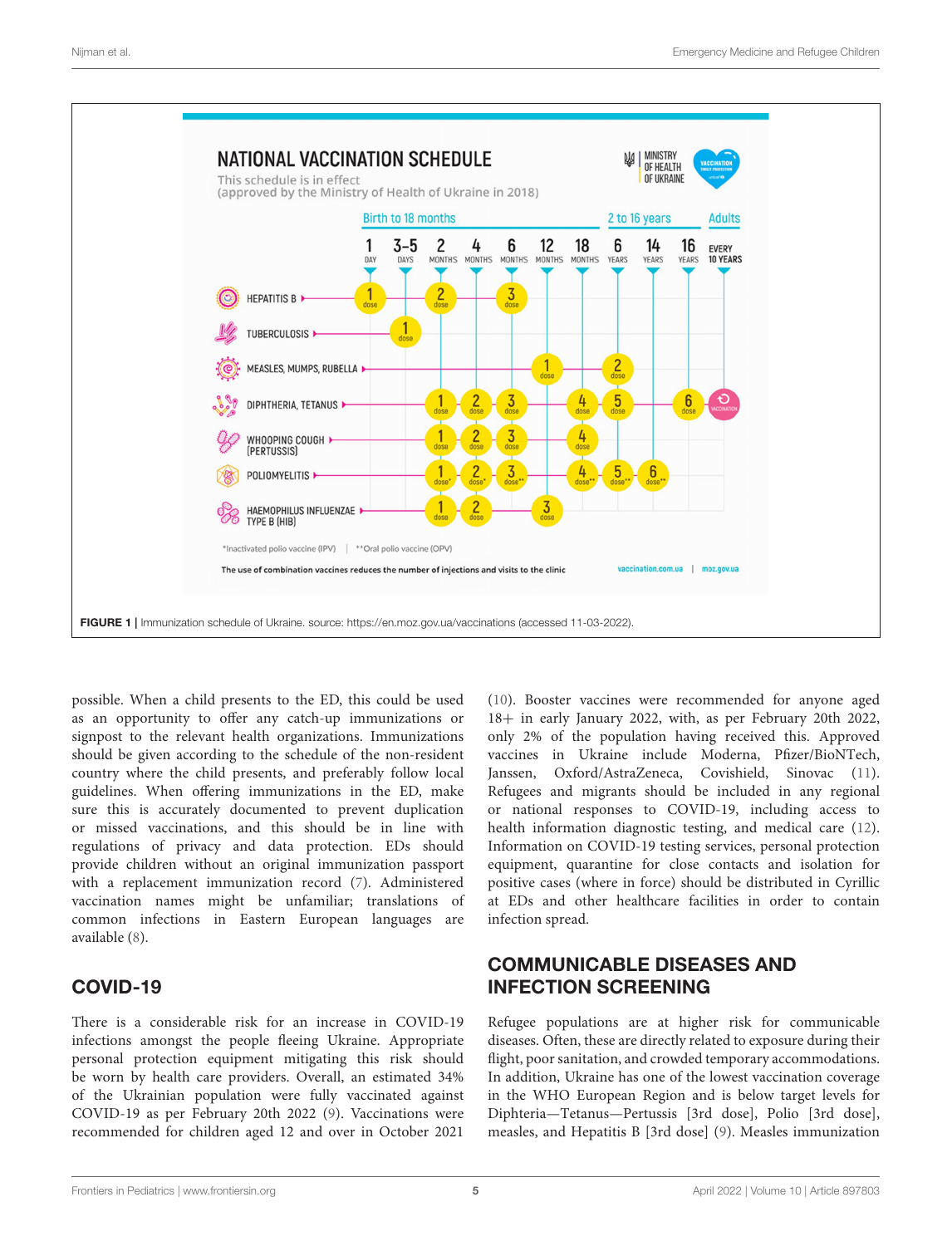

<span id="page-4-0"></span>possible. When a child presents to the ED, this could be used as an opportunity to offer any catch-up immunizations or signpost to the relevant health organizations. Immunizations should be given according to the schedule of the non-resident country where the child presents, and preferably follow local guidelines. When offering immunizations in the ED, make sure this is accurately documented to prevent duplication or missed vaccinations, and this should be in line with regulations of privacy and data protection. EDs should provide children without an original immunization passport with a replacement immunization record [\(7\)](#page-6-6). Administered vaccination names might be unfamiliar; translations of common infections in Eastern European languages are available [\(8\)](#page-6-7).

# COVID-19

There is a considerable risk for an increase in COVID-19 infections amongst the people fleeing Ukraine. Appropriate personal protection equipment mitigating this risk should be worn by health care providers. Overall, an estimated 34% of the Ukrainian population were fully vaccinated against COVID-19 as per February 20th 2022 [\(9\)](#page-6-8). Vaccinations were recommended for children aged 12 and over in October 2021

[\(10\)](#page-6-9). Booster vaccines were recommended for anyone aged 18+ in early January 2022, with, as per February 20th 2022, only 2% of the population having received this. Approved vaccines in Ukraine include Moderna, Pfizer/BioNTech, Janssen, Oxford/AstraZeneca, Covishield, Sinovac [\(11\)](#page-6-10). Refugees and migrants should be included in any regional or national responses to COVID-19, including access to health information diagnostic testing, and medical care [\(12\)](#page-6-11). Information on COVID-19 testing services, personal protection equipment, quarantine for close contacts and isolation for positive cases (where in force) should be distributed in Cyrillic at EDs and other healthcare facilities in order to contain infection spread.

## COMMUNICABLE DISEASES AND INFECTION SCREENING

Refugee populations are at higher risk for communicable diseases. Often, these are directly related to exposure during their flight, poor sanitation, and crowded temporary accommodations. In addition, Ukraine has one of the lowest vaccination coverage in the WHO European Region and is below target levels for Diphteria—Tetanus—Pertussis [3rd dose], Polio [3rd dose], measles, and Hepatitis B [3rd dose] [\(9\)](#page-6-8). Measles immunization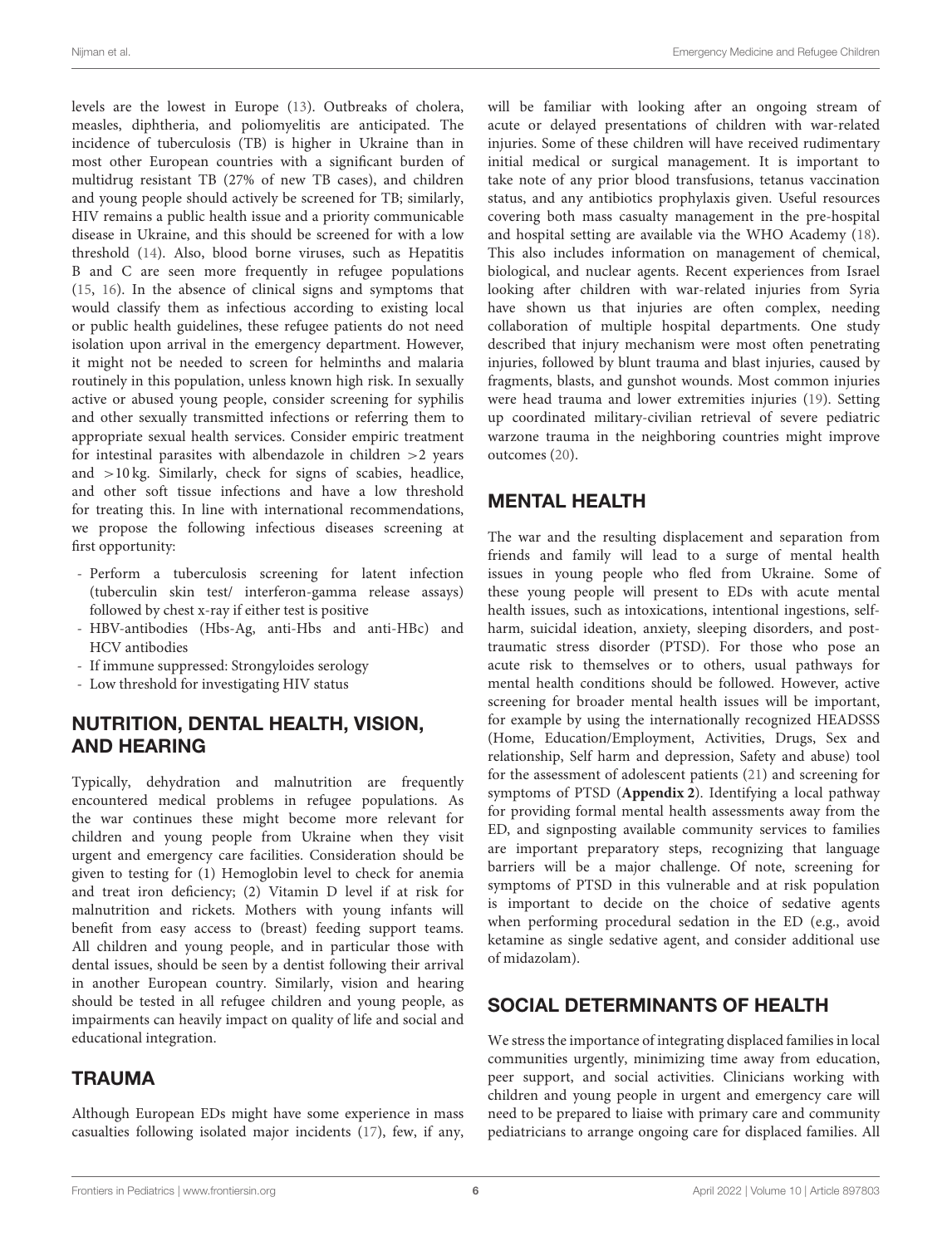levels are the lowest in Europe [\(13\)](#page-6-12). Outbreaks of cholera, measles, diphtheria, and poliomyelitis are anticipated. The incidence of tuberculosis (TB) is higher in Ukraine than in most other European countries with a significant burden of multidrug resistant TB (27% of new TB cases), and children and young people should actively be screened for TB; similarly, HIV remains a public health issue and a priority communicable disease in Ukraine, and this should be screened for with a low threshold [\(14\)](#page-6-13). Also, blood borne viruses, such as Hepatitis B and C are seen more frequently in refugee populations [\(15,](#page-7-0) [16\)](#page-7-1). In the absence of clinical signs and symptoms that would classify them as infectious according to existing local or public health guidelines, these refugee patients do not need isolation upon arrival in the emergency department. However, it might not be needed to screen for helminths and malaria routinely in this population, unless known high risk. In sexually active or abused young people, consider screening for syphilis and other sexually transmitted infections or referring them to appropriate sexual health services. Consider empiric treatment for intestinal parasites with albendazole in children  $>2$  years and >10 kg. Similarly, check for signs of scabies, headlice, and other soft tissue infections and have a low threshold for treating this. In line with international recommendations, we propose the following infectious diseases screening at first opportunity:

- Perform a tuberculosis screening for latent infection (tuberculin skin test/ interferon-gamma release assays) followed by chest x-ray if either test is positive
- HBV-antibodies (Hbs-Ag, anti-Hbs and anti-HBc) and HCV antibodies
- If immune suppressed: Strongyloides serology
- Low threshold for investigating HIV status

## NUTRITION, DENTAL HEALTH, VISION, AND HEARING

Typically, dehydration and malnutrition are frequently encountered medical problems in refugee populations. As the war continues these might become more relevant for children and young people from Ukraine when they visit urgent and emergency care facilities. Consideration should be given to testing for (1) Hemoglobin level to check for anemia and treat iron deficiency; (2) Vitamin D level if at risk for malnutrition and rickets. Mothers with young infants will benefit from easy access to (breast) feeding support teams. All children and young people, and in particular those with dental issues, should be seen by a dentist following their arrival in another European country. Similarly, vision and hearing should be tested in all refugee children and young people, as impairments can heavily impact on quality of life and social and educational integration.

# TRAUMA

Although European EDs might have some experience in mass casualties following isolated major incidents [\(17\)](#page-7-2), few, if any, will be familiar with looking after an ongoing stream of acute or delayed presentations of children with war-related injuries. Some of these children will have received rudimentary initial medical or surgical management. It is important to take note of any prior blood transfusions, tetanus vaccination status, and any antibiotics prophylaxis given. Useful resources covering both mass casualty management in the pre-hospital and hospital setting are available via the WHO Academy [\(18\)](#page-7-3). This also includes information on management of chemical, biological, and nuclear agents. Recent experiences from Israel looking after children with war-related injuries from Syria have shown us that injuries are often complex, needing collaboration of multiple hospital departments. One study described that injury mechanism were most often penetrating injuries, followed by blunt trauma and blast injuries, caused by fragments, blasts, and gunshot wounds. Most common injuries were head trauma and lower extremities injuries [\(19\)](#page-7-4). Setting up coordinated military-civilian retrieval of severe pediatric warzone trauma in the neighboring countries might improve outcomes [\(20\)](#page-7-5).

## MENTAL HEALTH

The war and the resulting displacement and separation from friends and family will lead to a surge of mental health issues in young people who fled from Ukraine. Some of these young people will present to EDs with acute mental health issues, such as intoxications, intentional ingestions, selfharm, suicidal ideation, anxiety, sleeping disorders, and posttraumatic stress disorder (PTSD). For those who pose an acute risk to themselves or to others, usual pathways for mental health conditions should be followed. However, active screening for broader mental health issues will be important, for example by using the internationally recognized HEADSSS (Home, Education/Employment, Activities, Drugs, Sex and relationship, Self harm and depression, Safety and abuse) tool for the assessment of adolescent patients [\(21\)](#page-7-6) and screening for symptoms of PTSD (**[Appendix 2](#page-6-2)**). Identifying a local pathway for providing formal mental health assessments away from the ED, and signposting available community services to families are important preparatory steps, recognizing that language barriers will be a major challenge. Of note, screening for symptoms of PTSD in this vulnerable and at risk population is important to decide on the choice of sedative agents when performing procedural sedation in the ED (e.g., avoid ketamine as single sedative agent, and consider additional use of midazolam).

# SOCIAL DETERMINANTS OF HEALTH

We stress the importance of integrating displaced families in local communities urgently, minimizing time away from education, peer support, and social activities. Clinicians working with children and young people in urgent and emergency care will need to be prepared to liaise with primary care and community pediatricians to arrange ongoing care for displaced families. All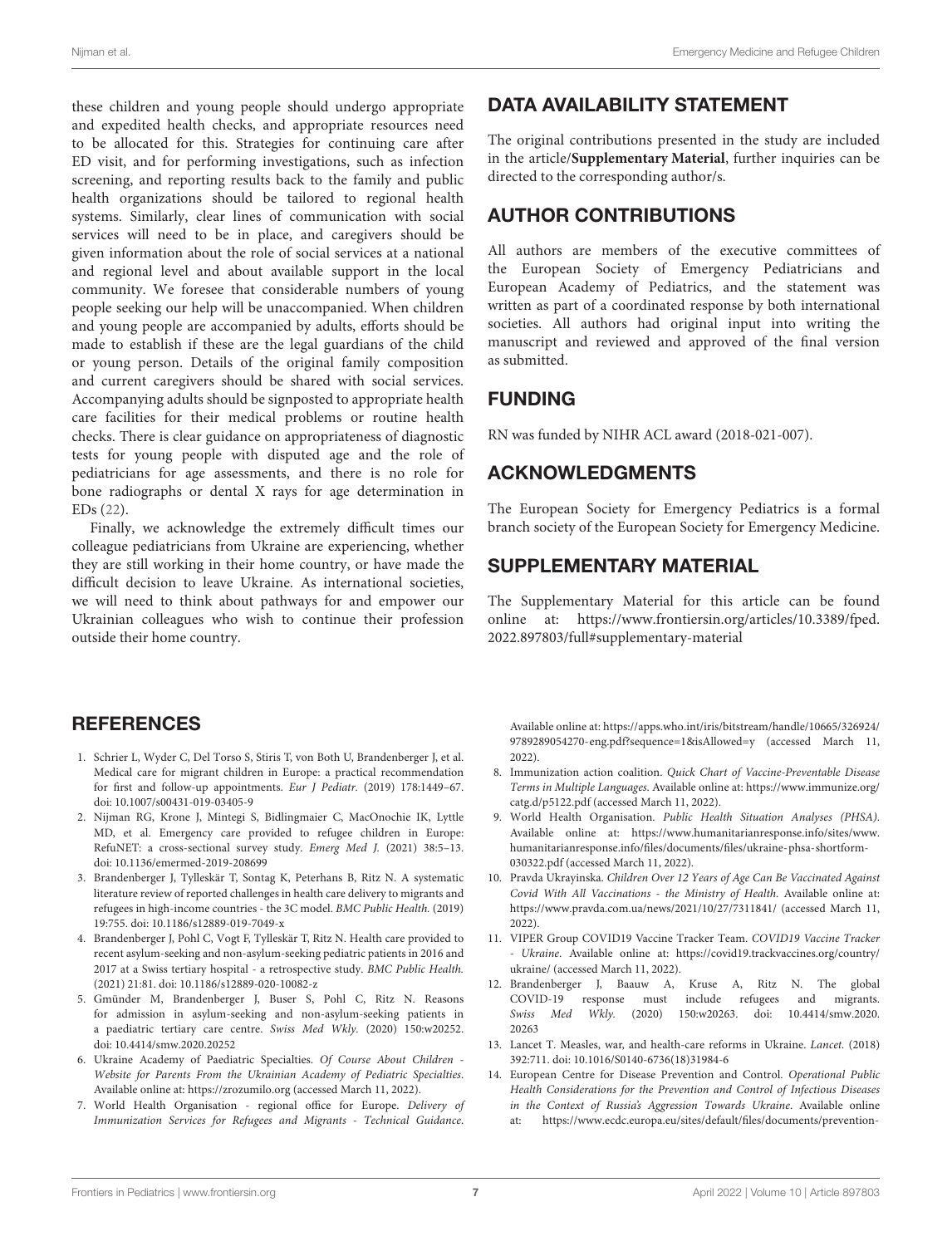these children and young people should undergo appropriate and expedited health checks, and appropriate resources need to be allocated for this. Strategies for continuing care after ED visit, and for performing investigations, such as infection screening, and reporting results back to the family and public health organizations should be tailored to regional health systems. Similarly, clear lines of communication with social services will need to be in place, and caregivers should be given information about the role of social services at a national and regional level and about available support in the local community. We foresee that considerable numbers of young people seeking our help will be unaccompanied. When children and young people are accompanied by adults, efforts should be made to establish if these are the legal guardians of the child or young person. Details of the original family composition and current caregivers should be shared with social services. Accompanying adults should be signposted to appropriate health care facilities for their medical problems or routine health checks. There is clear guidance on appropriateness of diagnostic tests for young people with disputed age and the role of pediatricians for age assessments, and there is no role for bone radiographs or dental X rays for age determination in EDs [\(22\)](#page-7-7).

Finally, we acknowledge the extremely difficult times our colleague pediatricians from Ukraine are experiencing, whether they are still working in their home country, or have made the difficult decision to leave Ukraine. As international societies, we will need to think about pathways for and empower our Ukrainian colleagues who wish to continue their profession outside their home country.

### **REFERENCES**

- <span id="page-6-0"></span>1. Schrier L, Wyder C, Del Torso S, Stiris T, von Both U, Brandenberger J, et al. Medical care for migrant children in Europe: a practical recommendation for first and follow-up appointments. Eur J Pediatr. (2019) 178:1449–67. doi: [10.1007/s00431-019-03405-9](https://doi.org/10.1007/s00431-019-03405-9)
- <span id="page-6-1"></span>2. Nijman RG, Krone J, Mintegi S, Bidlingmaier C, MacOnochie IK, Lyttle MD, et al. Emergency care provided to refugee children in Europe: RefuNET: a cross-sectional survey study. Emerg Med J. (2021) 38:5–13. doi: [10.1136/emermed-2019-208699](https://doi.org/10.1136/emermed-2019-208699)
- <span id="page-6-4"></span>3. Brandenberger J, Tylleskär T, Sontag K, Peterhans B, Ritz N. A systematic literature review of reported challenges in health care delivery to migrants and refugees in high-income countries - the 3C model. BMC Public Health. (2019) 19:755. doi: [10.1186/s12889-019-7049-x](https://doi.org/10.1186/s12889-019-7049-x)
- 4. Brandenberger J, Pohl C, Vogt F, Tylleskär T, Ritz N. Health care provided to recent asylum-seeking and non-asylum-seeking pediatric patients in 2016 and 2017 at a Swiss tertiary hospital - a retrospective study. BMC Public Health. (2021) 21:81. doi: [10.1186/s12889-020-10082-z](https://doi.org/10.1186/s12889-020-10082-z)
- <span id="page-6-3"></span>5. Gmünder M, Brandenberger J, Buser S, Pohl C, Ritz N. Reasons for admission in asylum-seeking and non-asylum-seeking patients in a paediatric tertiary care centre. Swiss Med Wkly. (2020) 150:w20252. doi: [10.4414/smw.2020.20252](https://doi.org/10.4414/smw.2020.20252)
- <span id="page-6-5"></span>6. Ukraine Academy of Paediatric Specialties. Of Course About Children - Website for Parents From the Ukrainian Academy of Pediatric Specialties. Available online at:<https://zrozumilo.org> (accessed March 11, 2022).
- <span id="page-6-6"></span>7. World Health Organisation - regional office for Europe. Delivery of Immunization Services for Refugees and Migrants - Technical Guidance.

### DATA AVAILABILITY STATEMENT

The original contributions presented in the study are included in the article/**[Supplementary Material](#page-6-2)**, further inquiries can be directed to the corresponding author/s.

## AUTHOR CONTRIBUTIONS

All authors are members of the executive committees of the European Society of Emergency Pediatricians and European Academy of Pediatrics, and the statement was written as part of a coordinated response by both international societies. All authors had original input into writing the manuscript and reviewed and approved of the final version as submitted.

## FUNDING

RN was funded by NIHR ACL award (2018-021-007).

## ACKNOWLEDGMENTS

The European Society for Emergency Pediatrics is a formal branch society of the European Society for Emergency Medicine.

#### SUPPLEMENTARY MATERIAL

<span id="page-6-2"></span>The Supplementary Material for this article can be found [online at: https://www.frontiersin.org/articles/10.3389/fped.](https://www.frontiersin.org/articles/10.3389/fped.2022.897803/full#supplementary-material) 2022.897803/full#supplementary-material

Available online at: [https://apps.who.int/iris/bitstream/handle/10665/326924/](https://apps.who.int/iris/bitstream/handle/10665/326924/9789289054270-eng.pdf?sequence=1&isAllowed=y) [9789289054270-eng.pdf?sequence=1&isAllowed=y](https://apps.who.int/iris/bitstream/handle/10665/326924/9789289054270-eng.pdf?sequence=1&isAllowed=y) (accessed March 11, 2022).

- <span id="page-6-7"></span>8. Immunization action coalition. Quick Chart of Vaccine-Preventable Disease Terms in Multiple Languages. Available online at: [https://www.immunize.org/](https://www.immunize.org/catg.d/p5122.pdf) [catg.d/p5122.pdf](https://www.immunize.org/catg.d/p5122.pdf) (accessed March 11, 2022).
- <span id="page-6-8"></span>9. World Health Organisation. Public Health Situation Analyses (PHSA). Available online at: [https://www.humanitarianresponse.info/sites/www.](https://www.humanitarianresponse.info/sites/www.humanitarianresponse.info/files/documents/files/ukraine-phsa-shortform-030322.pdf) [humanitarianresponse.info/files/documents/files/ukraine-phsa-shortform-](https://www.humanitarianresponse.info/sites/www.humanitarianresponse.info/files/documents/files/ukraine-phsa-shortform-030322.pdf)[030322.pdf](https://www.humanitarianresponse.info/sites/www.humanitarianresponse.info/files/documents/files/ukraine-phsa-shortform-030322.pdf) (accessed March 11, 2022).
- <span id="page-6-9"></span>10. Pravda Ukrayinska. Children Over 12 Years of Age Can Be Vaccinated Against Covid With All Vaccinations - the Ministry of Health. Available online at: <https://www.pravda.com.ua/news/2021/10/27/7311841/> (accessed March 11, 2022).
- <span id="page-6-10"></span>11. VIPER Group COVID19 Vaccine Tracker Team. COVID19 Vaccine Tracker - Ukraine. Available online at: [https://covid19.trackvaccines.org/country/](https://covid19.trackvaccines.org/country/ukraine/) [ukraine/](https://covid19.trackvaccines.org/country/ukraine/) (accessed March 11, 2022).
- <span id="page-6-11"></span>12. Brandenberger J, Baauw A, Kruse A, Ritz N. The global COVID-19 response must include refugees and migrants. Swiss Med Wkly. [\(2020\) 150:w20263. doi: 10.4414/smw.2020.](https://doi.org/10.4414/smw.2020.20263) 20263
- <span id="page-6-12"></span>13. Lancet T. Measles, war, and health-care reforms in Ukraine. Lancet. (2018) 392:711. doi: [10.1016/S0140-6736\(18\)31984-6](https://doi.org/10.1016/S0140-6736(18)31984-6)
- <span id="page-6-13"></span>14. European Centre for Disease Prevention and Control. Operational Public Health Considerations for the Prevention and Control of Infectious Diseases in the Context of Russia's Aggression Towards Ukraine. Available online at: [https://www.ecdc.europa.eu/sites/default/files/documents/prevention-](https://www.ecdc.europa.eu/sites/default/files/documents/prevention-control-infectious-diseases--Russia-aggression.pdf)